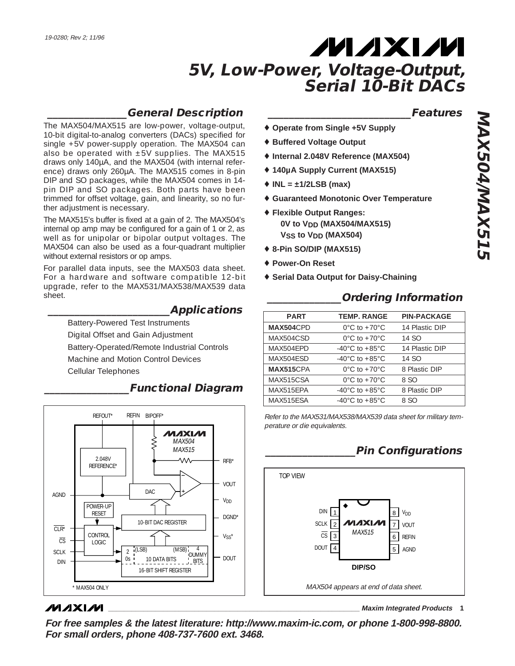### **\_\_\_\_\_\_\_\_\_\_\_\_\_\_\_General Description**

The MAX504/MAX515 are low-power, voltage-output, 10-bit digital-to-analog converters (DACs) specified for single +5V power-supply operation. The MAX504 can also be operated with  $\pm 5V$  supplies. The MAX515 draws only 140µA, and the MAX504 (with internal reference) draws only 260µA. The MAX515 comes in 8-pin DIP and SO packages, while the MAX504 comes in 14 pin DIP and SO packages. Both parts have been trimmed for offset voltage, gain, and linearity, so no further adjustment is necessary.

The MAX515's buffer is fixed at a gain of 2. The MAX504's internal op amp may be configured for a gain of 1 or 2, as well as for unipolar or bipolar output voltages. The MAX504 can also be used as a four-quadrant multiplier without external resistors or op amps.

For parallel data inputs, see the MAX503 data sheet. For a hardware and software compatible 12-bit upgrade, refer to the MAX531/MAX538/MAX539 data sheet.

### **\_\_\_\_\_\_\_\_\_\_\_\_\_\_\_\_\_\_\_\_\_\_\_Applications**

Battery-Powered Test Instruments Digital Offset and Gain Adjustment Battery-Operated/Remote Industrial Controls Machine and Motion Control Devices Cellular Telephones



### **\_\_\_\_\_\_\_\_\_\_\_\_\_\_\_\_Functional Diagram**

### **MAXIM**

**\_\_\_\_\_\_\_\_\_\_\_\_\_\_\_\_\_\_\_\_\_\_\_\_\_\_\_Features**

- ♦ **Operate from Single +5V Supply**
- ♦ **Buffered Voltage Output**
- ♦ **Internal 2.048V Reference (MAX504)**
- ♦ **140µA Supply Current (MAX515)**
- ♦ **INL = ±1/2LSB (max)**
- ♦ **Guaranteed Monotonic Over Temperature**
- ♦ **Flexible Output Ranges: 0V to VDD (MAX504/MAX515) VSS to VDD (MAX504)**
- ♦ **8-Pin SO/DIP (MAX515)**
- ♦ **Power-On Reset**
- ♦ **Serial Data Output for Daisy-Chaining**

| <b>PART</b>      | <b>TEMP. RANGE</b>                   | <b>PIN-PACKAGE</b> |
|------------------|--------------------------------------|--------------------|
| <b>MAX504CPD</b> | $0^{\circ}$ C to +70 $^{\circ}$ C    | 14 Plastic DIP     |
| MAX504CSD        | $0^{\circ}$ C to +70 $^{\circ}$ C    | 14 SO              |
| MAX504EPD        | -40 $^{\circ}$ C to +85 $^{\circ}$ C | 14 Plastic DIP     |
| MAX504ESD        | $-40^{\circ}$ C to $+85^{\circ}$ C   | 14 SO              |
| <b>MAX515CPA</b> | $0^{\circ}$ C to +70 $^{\circ}$ C    | 8 Plastic DIP      |
| MAX515CSA        | $0^{\circ}$ C to +70 $^{\circ}$ C    | 8 SO               |
| MAX515FPA        | -40 $^{\circ}$ C to +85 $^{\circ}$ C | 8 Plastic DIP      |
| MAX515ESA        | $-40^{\circ}$ C to $+85^{\circ}$ C   | 8 SO               |

Refer to the MAX531/MAX538/MAX539 data sheet for military temperature or die equivalents.

### **\_\_\_\_\_\_\_\_\_\_\_\_\_\_\_\_\_Pin Configurations**

**\_\_\_\_\_\_\_\_\_\_\_\_\_\_Ordering Information**



**\_\_\_\_\_\_\_\_\_\_\_\_\_\_\_\_\_\_\_\_\_\_\_\_\_\_\_\_\_\_\_\_\_\_\_\_\_\_\_\_\_\_\_\_\_\_\_\_\_\_\_\_\_\_\_\_\_\_\_\_\_\_\_\_ Maxim Integrated Products 1**

**For free samples & the latest literature: http://www.maxim-ic.com, or phone 1-800-998-8800. For small orders, phone 408-737-7600 ext. 3468.**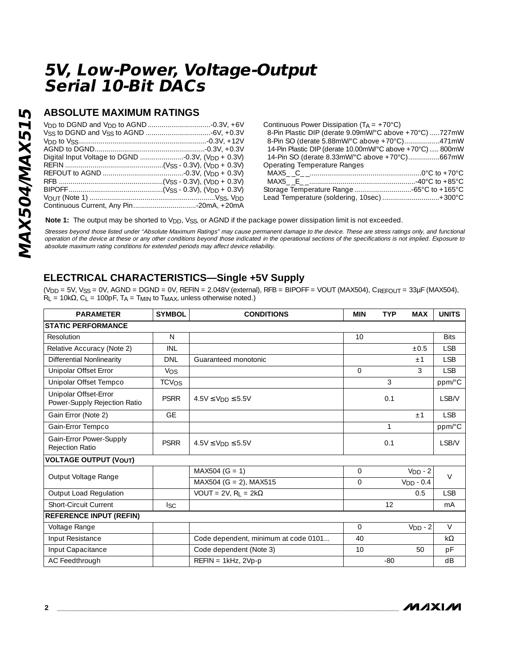### **ABSOLUTE MAXIMUM RATINGS**

| Continuous Power Dissipation $(T_A = +70^{\circ}C)$       |  |
|-----------------------------------------------------------|--|
| 8-Pin Plastic DIP (derate 9.09mW/°C above +70°C) 727mW    |  |
| 8-Pin SO (derate 5.88mW/°C above +70°C)471mW              |  |
| 14-Pin Plastic DIP (derate 10.00mW/°C above +70°C)  800mW |  |
| 14-Pin SO (derate 8.33mW/°C above +70°C)667mW             |  |
| Operating Temperature Ranges                              |  |
|                                                           |  |
|                                                           |  |
|                                                           |  |
| Lead Temperature (soldering, 10sec) +300°C                |  |
|                                                           |  |

**Note 1:** The output may be shorted to V<sub>DD</sub>, V<sub>SS</sub>, or AGND if the package power dissipation limit is not exceeded.

Stresses beyond those listed under "Absolute Maximum Ratings" may cause permanent damage to the device. These are stress ratings only, and functional operation of the device at these or any other conditions beyond those indicated in the operational sections of the specifications is not implied. Exposure to absolute maximum rating conditions for extended periods may affect device reliability.

### **ELECTRICAL CHARACTERISTICS—Single +5V Supply**

 $(V_{DD} = 5V$ ,  $V_{SS} = 0V$ ,  $AGND = DGND = 0V$ ,  $REFIN = 2.048V$  (external),  $RFB = BIPOFF = VOUT$  (MAX504),  $C_{REFOUT} = 33\mu F$  (MAX504),  $R_L = 10k\Omega$ ,  $C_L = 100pF$ ,  $T_A = T_{MIN}$  to  $T_{MAX}$ , unless otherwise noted.)

| <b>PARAMETER</b>                                      | <b>SYMBOL</b>           | <b>CONDITIONS</b>                          | <b>MIN</b>     | <b>TYP</b> | <b>MAX</b>  | <b>UNITS</b> |
|-------------------------------------------------------|-------------------------|--------------------------------------------|----------------|------------|-------------|--------------|
| <b>STATIC PERFORMANCE</b>                             |                         |                                            |                |            |             |              |
| Resolution                                            | $\mathsf{N}$            |                                            | 10             |            |             | <b>Bits</b>  |
| Relative Accuracy (Note 2)                            | INL                     |                                            |                |            | ±0.5        | <b>LSB</b>   |
| <b>Differential Nonlinearity</b>                      | <b>DNL</b>              | Guaranteed monotonic                       |                |            | ±1          | <b>LSB</b>   |
| Unipolar Offset Error                                 | <b>V<sub>OS</sub></b>   |                                            | $\Omega$       |            | 3           | <b>LSB</b>   |
| Unipolar Offset Tempco                                | <b>TCV<sub>OS</sub></b> |                                            |                | 3          |             | ppm/°C       |
| Unipolar Offset-Error<br>Power-Supply Rejection Ratio | <b>PSRR</b>             | $4.5V \le V_{DD} \le 5.5V$                 |                | 0.1        |             | LSB/V        |
| Gain Error (Note 2)                                   | <b>GE</b>               |                                            |                |            | ±1          | <b>LSB</b>   |
| Gain-Error Tempco                                     |                         |                                            |                | 1          |             | ppm/°C       |
| Gain-Error Power-Supply<br>Rejection Ratio            | <b>PSRR</b>             | $4.5V \le V_{DD} \le 5.5V$                 |                | 0.1        |             | LSB/V        |
| <b>VOLTAGE OUTPUT (VOUT)</b>                          |                         |                                            |                |            |             |              |
| Output Voltage Range                                  |                         | $MAX504 (G = 1)$                           | $\overline{0}$ |            | $VDD - 2$   | $\vee$       |
|                                                       |                         | MAX504 (G = 2), MAX515                     | $\Omega$       |            | $VDD - 0.4$ |              |
| Output Load Regulation                                |                         | $VOUT = 2V$ , R <sub>I</sub> = 2k $\Omega$ |                |            | 0.5         | <b>LSB</b>   |
| <b>Short-Circuit Current</b>                          | <b>Isc</b>              |                                            |                | 12         |             | mA           |
| <b>REFERENCE INPUT (REFIN)</b>                        |                         |                                            |                |            |             |              |
| Voltage Range                                         |                         |                                            | $\mathbf{O}$   |            | $VDD - 2$   | $\vee$       |
| Input Resistance                                      |                         | Code dependent, minimum at code 0101       | 40             |            |             | $k\Omega$    |
| Input Capacitance                                     |                         | Code dependent (Note 3)                    | 10             |            | 50          | pF           |
| AC Feedthrough                                        |                         | $REFIN = 1kHz$ , 2Vp-p                     |                | $-80$      |             | dB           |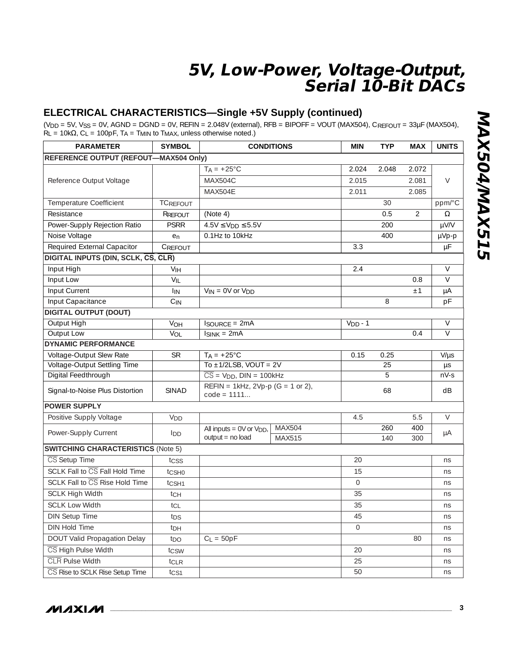### **ELECTRICAL CHARACTERISTICS—Single +5V Supply (continued)**

 $(V_{DD} = 5V$ ,  $V_{SS} = 0V$ ,  $AGND = DGND = 0V$ ,  $REFIN = 2.048V$  (external),  $RFB = BIPOFF = VOUT$  (MAX504),  $C_{REFOUT} = 33\mu F$  (MAX504),  $R_L = 10k\Omega$ ,  $C_L = 100pF$ ,  $T_A = T_{MIN}$  to  $T_{MAX}$ , unless otherwise noted.)

| <b>PARAMETER</b>                             | <b>SYMBOL</b>     |                                                          | <b>CONDITIONS</b>       | <b>MIN</b>     | <b>TYP</b> | <b>MAX</b> | <b>UNITS</b> |
|----------------------------------------------|-------------------|----------------------------------------------------------|-------------------------|----------------|------------|------------|--------------|
| <b>REFERENCE OUTPUT (REFOUT-MAX504 Only)</b> |                   |                                                          |                         |                |            |            |              |
|                                              |                   | $TA = +25^{\circ}C$                                      |                         | 2.024          | 2.048      | 2.072      |              |
| Reference Output Voltage                     |                   | MAX504C                                                  |                         | 2.015          |            | 2.081      | $\vee$       |
|                                              |                   | MAX504E                                                  |                         | 2.011          |            | 2.085      |              |
| Temperature Coefficient                      | <b>TCREFOUT</b>   |                                                          |                         |                | 30         |            | ppm/°C       |
| Resistance                                   | RREFOUT           | (Note 4)                                                 |                         |                | 0.5        | 2          | Ω            |
| Power-Supply Rejection Ratio                 | <b>PSRR</b>       | $4.5V \le V_{DD} \le 5.5V$                               |                         |                | 200        |            | µV/V         |
| Noise Voltage                                | en                | 0.1Hz to 10kHz                                           |                         |                | 400        |            | µVp-p        |
| Required External Capacitor                  | CREFOUT           |                                                          |                         | 3.3            |            |            | μF           |
| DIGITAL INPUTS (DIN, SCLK, CS, CLR)          |                   |                                                          |                         |                |            |            |              |
| Input High                                   | VIH               |                                                          |                         | 2.4            |            |            | $\vee$       |
| Input Low                                    | $V_{IL}$          |                                                          |                         |                |            | 0.8        | $\vee$       |
| Input Current                                | <b>IIN</b>        | $V_{IN} = OV$ or $V_{DD}$                                |                         |                |            | ±1         | μA           |
| Input Capacitance                            | $C_{IN}$          |                                                          |                         |                | 8          |            | рF           |
| <b>DIGITAL OUTPUT (DOUT)</b>                 |                   |                                                          |                         |                |            |            |              |
| Output High                                  | V <sub>OH</sub>   | <b>ISOURCE = 2mA</b>                                     |                         | $VDD - 1$      |            |            | $\vee$       |
| Output Low                                   | VOL               | $ISINK = 2mA$                                            |                         |                |            | 0.4        | $\vee$       |
| <b>DYNAMIC PERFORMANCE</b>                   |                   |                                                          |                         |                |            |            |              |
| Voltage-Output Slew Rate                     | <b>SR</b>         | $TA = +25^{\circ}C$                                      |                         | 0.15           | 0.25       |            | $V/\mu s$    |
| Voltage-Output Settling Time                 |                   | To $\pm$ 1/2LSB, VOUT = 2V                               |                         |                | 25         |            | $\mu s$      |
| Digital Feedthrough                          |                   | $\overline{CS}$ = $VDD$ , $DIN = 100kHz$                 |                         |                | 5          |            | $nV-S$       |
| Signal-to-Noise Plus Distortion              | <b>SINAD</b>      | REFIN = 1kHz, 2Vp-p (G = 1 or 2),<br>$code = 1111$       |                         |                | 68         |            | dB           |
| <b>POWER SUPPLY</b>                          |                   |                                                          |                         |                |            |            |              |
| Positive Supply Voltage                      | V <sub>DD</sub>   |                                                          |                         | 4.5            |            | 5.5        | $\vee$       |
| Power-Supply Current                         | lnn.              | All inputs = 0V or V <sub>DD</sub> ,<br>output = no load | <b>MAX504</b><br>MAX515 |                | 260<br>140 | 400<br>300 | μA           |
| <b>SWITCHING CHARACTERISTICS (Note 5)</b>    |                   |                                                          |                         |                |            |            |              |
| CS Setup Time                                | tcss              |                                                          |                         | 20             |            |            | ns           |
| SCLK Fall to CS Fall Hold Time               | tcs <sub>H0</sub> |                                                          |                         | 15             |            |            | ns           |
| SCLK Fall to CS Rise Hold Time               | t <sub>CSH1</sub> |                                                          |                         | $\overline{0}$ |            |            | ns           |
| <b>SCLK High Width</b>                       | tch               |                                                          |                         | 35             |            |            | ns           |
| <b>SCLK Low Width</b>                        | tcL               |                                                          |                         | 35             |            |            | ns           |
| <b>DIN Setup Time</b>                        | t <sub>DS</sub>   |                                                          |                         | 45             |            |            | ns           |
| DIN Hold Time                                | t <sub>DH</sub>   |                                                          |                         | $\Omega$       |            |            | ns           |
| <b>DOUT Valid Propagation Delay</b>          | tpo               | $C_1 = 50pF$                                             |                         |                |            | 80         | ns           |
| CS High Pulse Width                          | tcsw              |                                                          |                         | 20             |            |            | ns           |
| <b>CLR</b> Pulse Width                       | tcLR              |                                                          |                         | 25             |            |            | ns           |
| CS Rise to SCLK Rise Setup Time              | tcs1              |                                                          |                         | 50             |            |            | ns           |

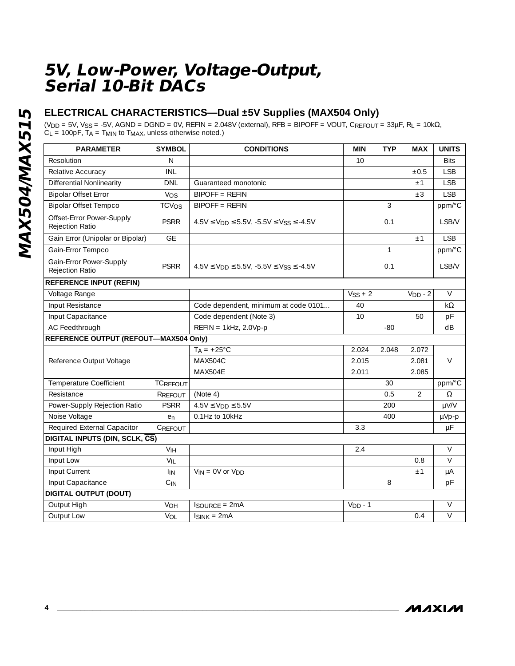### **ELECTRICAL CHARACTERISTICS—Dual ±5V Supplies (MAX504 Only)**

(V<sub>DD</sub> = 5V, V<sub>SS</sub> = -5V, AGND = DGND = 0V, REFIN = 2.048V (external), RFB = BIPOFF = VOUT, CREFOUT = 33µF, RL = 10k $\Omega$ ,  $C_L$  = 100pF,  $T_A$  =  $T_{MIN}$  to  $T_{MAX}$ , unless otherwise noted.)

| <b>PARAMETER</b>                                    | <b>SYMBOL</b>           | <b>CONDITIONS</b>                                         | <b>MIN</b> | <b>TYP</b> | <b>MAX</b>     | <b>UNITS</b>   |
|-----------------------------------------------------|-------------------------|-----------------------------------------------------------|------------|------------|----------------|----------------|
| Resolution                                          | $\mathsf{N}$            |                                                           | 10         |            |                | <b>Bits</b>    |
| Relative Accuracy                                   | <b>INL</b>              |                                                           |            |            | ±0.5           | <b>LSB</b>     |
| <b>Differential Nonlinearity</b>                    | <b>DNL</b>              | Guaranteed monotonic                                      |            |            | ±1             | <b>LSB</b>     |
| <b>Bipolar Offset Error</b>                         | Vos                     | <b>BIPOFF = REFIN</b>                                     |            |            | $\pm 3$        | <b>LSB</b>     |
| <b>Bipolar Offset Tempco</b>                        | <b>TCV<sub>OS</sub></b> | <b>BIPOFF = REFIN</b>                                     |            | 3          |                | ppm/°C         |
| Offset-Error Power-Supply<br><b>Rejection Ratio</b> | <b>PSRR</b>             | $4.5V \le V_{DD} \le 5.5V$ , $-5.5V \le V_{SS} \le -4.5V$ |            | 0.1        |                | <b>LSB/V</b>   |
| Gain Error (Unipolar or Bipolar)                    | <b>GE</b>               |                                                           |            |            | ±1             | <b>LSB</b>     |
| Gain-Error Tempco                                   |                         |                                                           |            | 1          |                | ppm/°C         |
| Gain-Error Power-Supply<br><b>Rejection Ratio</b>   | <b>PSRR</b>             | $4.5V \le V_{DD} \le 5.5V$ , $-5.5V \le V_{SS} \le -4.5V$ |            | 0.1        |                | LSB/V          |
| <b>REFERENCE INPUT (REFIN)</b>                      |                         |                                                           |            |            |                |                |
| Voltage Range                                       |                         |                                                           | $VSS + 2$  |            | $VDD - 2$      | $\vee$         |
| Input Resistance                                    |                         | Code dependent, minimum at code 0101                      | 40         |            |                | $k\Omega$      |
| Input Capacitance                                   |                         | Code dependent (Note 3)                                   | 10         |            | 50             | pF             |
| AC Feedthrough                                      |                         | $REFIN = 1kHz, 2.0Vp-p$                                   |            | $-80$      |                | dB             |
| <b>REFERENCE OUTPUT (REFOUT-MAX504 Only)</b>        |                         |                                                           |            |            |                |                |
|                                                     |                         | $T_A = +25^{\circ}C$                                      | 2.024      | 2.048      | 2.072          |                |
| Reference Output Voltage                            |                         | <b>MAX504C</b>                                            | 2.015      |            | 2.081          | $\vee$         |
|                                                     |                         | <b>MAX504F</b>                                            | 2.011      |            | 2.085          |                |
| Temperature Coefficient                             | <b>TCREFOUT</b>         |                                                           |            | 30         |                | ppm/°C         |
| Resistance                                          | RREFOUT                 | (Note 4)                                                  |            | 0.5        | $\overline{2}$ | Ω              |
| Power-Supply Rejection Ratio                        | <b>PSRR</b>             | $4.5V \le V_{DD} \le 5.5V$                                |            | 200        |                | µV/V           |
| Noise Voltage                                       | e <sub>n</sub>          | 0.1Hz to 10kHz                                            |            | 400        |                | µVp-p          |
| Required External Capacitor                         | CREFOUT                 |                                                           | 3.3        |            |                | $\mu$ F        |
| DIGITAL INPUTS (DIN, SCLK, CS)                      |                         |                                                           |            |            |                |                |
| Input High                                          | V <sub>IH</sub>         |                                                           | 2.4        |            |                | $\vee$         |
| Input Low                                           | $V_{IL}$                |                                                           |            |            | 0.8            | $\vee$         |
| Input Current                                       | I <sub>IN</sub>         | $V_{IN} = 0V$ or $V_{DD}$                                 |            |            | ±1             | $\mu A$        |
| Input Capacitance                                   | $C_{IN}$                |                                                           |            | 8          |                | pF             |
| <b>DIGITAL OUTPUT (DOUT)</b>                        |                         |                                                           |            |            |                |                |
| Output High                                         | VOH                     | <b>ISOURCE = 2mA</b>                                      | $VDD - 1$  |            |                | $\vee$         |
| Output Low                                          | VOL                     | $I_{SINK} = 2mA$                                          |            |            | 0.4            | $\overline{V}$ |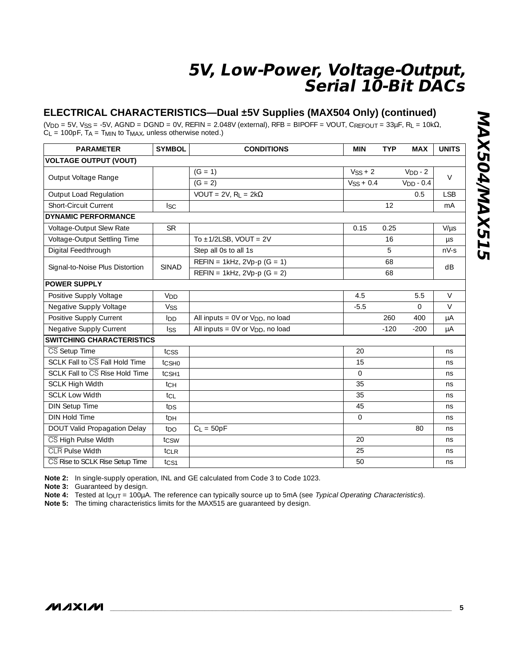### **ELECTRICAL CHARACTERISTICS—Dual ±5V Supplies (MAX504 Only) (continued)**

(V<sub>DD</sub> = 5V, V<sub>SS</sub> = -5V, AGND = DGND = 0V, REFIN = 2.048V (external), RFB = BIPOFF = VOUT, CREFOUT = 33µF, RL = 10k $\Omega$ ,  $C_L$  = 100pF,  $T_A$  =  $T_{MIN}$  to  $T_{MAX}$ , unless otherwise noted.)

| <b>PARAMETER</b>                 | <b>SYMBOL</b>     | <b>CONDITIONS</b>                            | <b>MIN</b>   | <b>TYP</b> | <b>MAX</b>  | <b>UNITS</b> |
|----------------------------------|-------------------|----------------------------------------------|--------------|------------|-------------|--------------|
| <b>VOLTAGE OUTPUT (VOUT)</b>     |                   |                                              |              |            |             |              |
|                                  |                   | $(G = 1)$                                    | $VSS + 2$    |            | $VDD - 2$   | $\vee$       |
| Output Voltage Range             |                   | $(G = 2)$                                    | $VSS + 0.4$  |            | $VDD - 0.4$ |              |
| Output Load Regulation           |                   | VOUT = 2V, $R_1$ = 2k $\Omega$               |              |            | 0.5         | <b>LSB</b>   |
| <b>Short-Circuit Current</b>     | <b>ISC</b>        |                                              |              | 12         |             | mA           |
| <b>DYNAMIC PERFORMANCE</b>       |                   |                                              |              |            |             |              |
| Voltage-Output Slew Rate         | <b>SR</b>         |                                              | 0.15         | 0.25       |             | $V/\mu s$    |
| Voltage-Output Settling Time     |                   | To $\pm$ 1/2LSB, VOUT = 2V                   |              | 16         |             | $\mu s$      |
| Digital Feedthrough              |                   | Step all 0s to all 1s                        |              | 5          |             | $nV-S$       |
|                                  | SINAD             | $REFIN = 1kHz, 2Vp-p (G = 1)$                |              | 68         |             | dB           |
| Signal-to-Noise Plus Distortion  |                   | $REFIN = 1kHz, 2Vp-p (G = 2)$                |              | 68         |             |              |
| <b>POWER SUPPLY</b>              |                   |                                              |              |            |             |              |
| Positive Supply Voltage          | V <sub>DD</sub>   |                                              | 4.5          |            | 5.5         | $\vee$       |
| Negative Supply Voltage          | Vss               |                                              | $-5.5$       |            | $\Omega$    | $\vee$       |
| Positive Supply Current          | I <sub>DD</sub>   | All inputs = 0V or V <sub>DD</sub> , no load |              | 260        | 400         | $\mu A$      |
| Negative Supply Current          | <b>ISS</b>        | All inputs = 0V or V <sub>DD</sub> , no load |              | $-120$     | $-200$      | μA           |
| <b>SWITCHING CHARACTERISTICS</b> |                   |                                              |              |            |             |              |
| CS Setup Time                    | tcss              |                                              | 20           |            |             | ns           |
| SCLK Fall to CS Fall Hold Time   | tcsHo             |                                              | 15           |            |             | ns           |
| SCLK Fall to CS Rise Hold Time   | t <sub>CSH1</sub> |                                              | $\Omega$     |            |             | ns           |
| <b>SCLK High Width</b>           | tch               |                                              | 35           |            |             | ns           |
| <b>SCLK Low Width</b>            | tci               |                                              | 35           |            |             | ns           |
| <b>DIN Setup Time</b>            | tps               |                                              | 45           |            |             | ns           |
| <b>DIN Hold Time</b>             | t <sub>DH</sub>   |                                              | $\mathbf{O}$ |            |             | ns           |
| DOUT Valid Propagation Delay     | t <sub>DO</sub>   | $C_L = 50pF$                                 |              |            | 80          | ns           |
| CS High Pulse Width              | tcsw              |                                              | 20           |            |             | ns           |
| <b>CLR</b> Pulse Width           | t <sub>CLR</sub>  |                                              | 25           |            |             | ns           |
| CS Rise to SCLK Rise Setup Time  | tcs1              |                                              | 50           |            |             | ns           |

**Note 2:** In single-supply operation, INL and GE calculated from Code 3 to Code 1023.

**Note 3:** Guaranteed by design.

**Note 4:** Tested at IOUT = 100µA. The reference can typically source up to 5mA (see Typical Operating Characteristics).

**Note 5:** The timing characteristics limits for the MAX515 are guaranteed by design.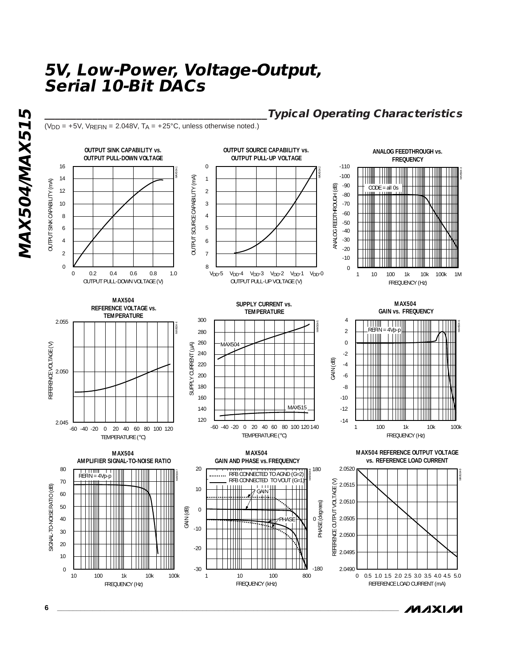$(V_{DD} = +5V$ ,  $V_{RFFIN} = 2.048V$ ,  $T_A = +25°C$ , unless otherwise noted.)



### **\_\_\_\_\_\_\_\_\_\_\_\_\_\_\_\_\_\_\_\_\_\_\_\_\_\_\_\_\_\_\_\_\_\_\_\_\_\_\_\_\_\_Typical Operating Characteristics**

**MAXIM**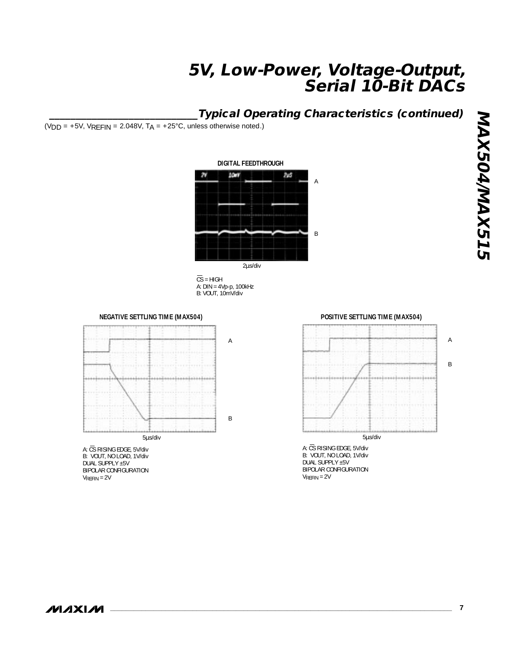### **\_\_\_\_\_\_\_\_\_\_\_\_\_\_\_\_\_\_\_\_\_\_\_\_\_\_\_\_Typical Operating Characteristics (continued)**

(VDD =  $+5V$ , VREFIN = 2.048V, TA =  $+25^{\circ}$ C, unless otherwise noted.)



 $\overline{\text{CS}}$  = HIGH A: DIN = 4Vp-p, 100kHz B: VOUT, 10mV/div

**NEGATIVE SETTLING TIME (MAX504)**



A: CS RISING EDGE, 5V/div B: VOUT, NO LOAD, 1V/div DUAL SUPPLY ±5V BIPOLAR CONFIGURATION VREFIN = 2V

**POSITIVE SETTLING TIME (MAX504)**



BIPOLAR CONFIGURATION  $V_{REFIN} = 2V$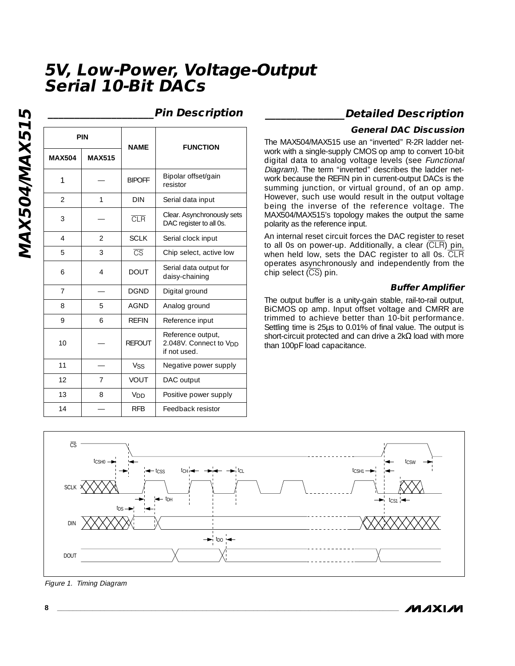resistor

1 | \_ | BIPOFF | Bipolar offset/gain

**NAME**

2 | 1 | DIN | Serial data input

4 | 2 | SCLK | Serial clock input 5 3 **CS** Chip select, active low

6 | 4 | DOUT | Serial data output for

7 | - | DGND | Digital ground

8 | 5 | AGND | Analog ground 9 | 6 | REFIN | Reference input

**REFOUT** 

12 | 7 | VOUT | DAC output

11 | — | Vss | Negative power supply

13 | 8 | V<sub>DD</sub> | Positive power supply 14 | — | RFB | Feedback resistor

 $\overline{3}$   $\overline{CR}$   $\overline{CR}$   $\overline{CR}$   $\overline{CR}$   $\overline{CR}$   $\overline{CR}$   $\overline{CR}$   $\overline{CR}$   $\overline{CR}$   $\overline{CR}$   $\overline{CR}$   $\overline{CR}$   $\overline{CR}$   $\overline{CR}$   $\overline{CR}$   $\overline{CR}$   $\overline{CR}$   $\overline{CR}$   $\overline{CR}$   $\overline{CR}$   $\overline{CR}$   $\overline{CR}$   $\overline{CR}$   $\overline{$ 

MAX504/MAX515 **MAX504/MAX515**

10

**PIN**

**MAX504 MAX515**

—

1

—

2 3

4

— 5 6

|  | <b>Pin Description</b> |
|--|------------------------|
|  |                        |

**FUNCTION**

DAC register to all 0s.

daisy-chaining

Reference output, 2.048V. Connect to VDD

if not used.

### **\_\_\_\_\_\_\_\_\_\_\_\_\_\_\_\_\_\_\_\_Pin Description \_\_\_\_\_\_\_\_\_\_\_\_\_\_\_Detailed Description**

#### **General DAC Discussion**

The MAX504/MAX515 use an "inverted" R-2R ladder network with a single-supply CMOS op amp to convert 10-bit digital data to analog voltage levels (see Functional Diagram). The term "inverted" describes the ladder network because the REFIN pin in current-output DACs is the summing junction, or virtual ground, of an op amp. However, such use would result in the output voltage being the inverse of the reference voltage. The MAX504/MAX515's topology makes the output the same polarity as the reference input.

An internal reset circuit forces the DAC register to reset to all 0s on power-up. Additionally, a clear (CLR) pin, when held low, sets the DAC register to all 0s. CLR operates asynchronously and independently from the chip select  $(\overline{CS})$  pin.

#### **Buffer Amplifier**

The output buffer is a unity-gain stable, rail-to-rail output, BiCMOS op amp. Input offset voltage and CMRR are trimmed to achieve better than 10-bit performance. Settling time is 25µs to 0.01% of final value. The output is short-circuit protected and can drive a 2k $\Omega$  load with more than 100pF load capacitance.



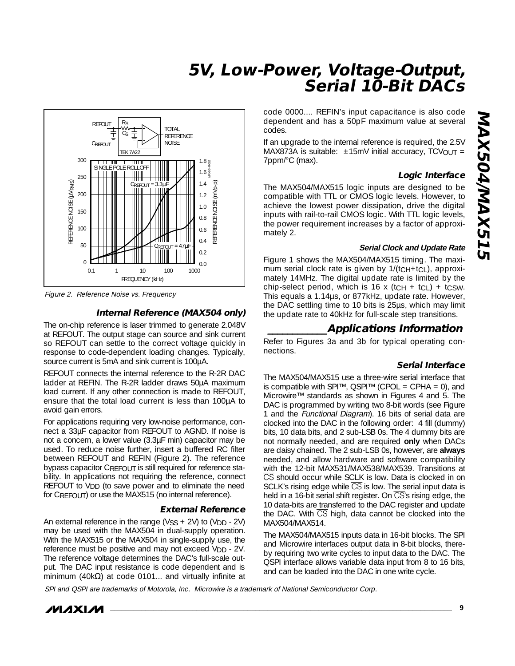

Figure 2. Reference Noise vs. Frequency

#### **Internal Reference (MAX504 only)**

The on-chip reference is laser trimmed to generate 2.048V at REFOUT. The output stage can source and sink current so REFOUT can settle to the correct voltage quickly in response to code-dependent loading changes. Typically, source current is 5mA and sink current is 100µA.

REFOUT connects the internal reference to the R-2R DAC ladder at REFIN. The R-2R ladder draws 50µA maximum load current. If any other connection is made to REFOUT, ensure that the total load current is less than 100µA to avoid gain errors.

For applications requiring very low-noise performance, connect a 33µF capacitor from REFOUT to AGND. If noise is not a concern, a lower value (3.3µF min) capacitor may be used. To reduce noise further, insert a buffered RC filter between REFOUT and REFIN (Figure 2). The reference bypass capacitor CREFOUT is still required for reference stability. In applications not requiring the reference, connect REFOUT to V<sub>DD</sub> (to save power and to eliminate the need for CREFOUT) or use the MAX515 (no internal reference).

#### **External Reference**

An external reference in the range ( $VSS + 2V$ ) to ( $VDD - 2V$ ) may be used with the MAX504 in dual-supply operation. With the MAX515 or the MAX504 in single-supply use, the reference must be positive and may not exceed V<sub>DD</sub> - 2V. The reference voltage determines the DAC's full-scale output. The DAC input resistance is code dependent and is minimum (40k $\Omega$ ) at code 0101... and virtually infinite at code 0000.... REFIN's input capacitance is also code dependent and has a 50pF maximum value at several codes.

If an upgrade to the internal reference is required, the 2.5V MAX873A is suitable:  $\pm 15$ mV initial accuracy, TCVOUT = 7ppm/°C (max).

#### **Logic Interface**

The MAX504/MAX515 logic inputs are designed to be compatible with TTL or CMOS logic levels. However, to achieve the lowest power dissipation, drive the digital inputs with rail-to-rail CMOS logic. With TTL logic levels, the power requirement increases by a factor of approximately 2.

#### **Serial Clock and Update Rate**

Figure 1 shows the MAX504/MAX515 timing. The maximum serial clock rate is given by 1/(tcH+tcL), approximately 14MHz. The digital update rate is limited by the chip-select period, which is 16 x (tcH + tcL) + tcsw. This equals a 1.14µs, or 877kHz, update rate. However, the DAC settling time to 10 bits is 25µs, which may limit the update rate to 40kHz for full-scale step transitions.

### **\_\_\_\_\_\_\_\_\_\_\_\_Applications Information**

Refer to Figures 3a and 3b for typical operating connections.

#### **Serial Interface**

The MAX504/MAX515 use a three-wire serial interface that is compatible with SPI™, QSPI™ (CPOL = CPHA = 0), and Microwire™ standards as shown in Figures 4 and 5. The DAC is programmed by writing two 8-bit words (see Figure 1 and the Functional Diagram). 16 bits of serial data are clocked into the DAC in the following order: 4 fill (dummy) bits, 10 data bits, and 2 sub-LSB 0s. The 4 dummy bits are not normally needed, and are required **only** when DACs are daisy chained. The 2 sub-LSB 0s, however, are **always** needed, and allow hardware and software compatibility with the 12-bit MAX531/MAX538/MAX539. Transitions at CS should occur while SCLK is low. Data is clocked in on SCLK's rising edge while  $\overline{CS}$  is low. The serial input data is held in a 16-bit serial shift register. On  $\overline{CS}$ 's rising edge, the 10 data-bits are transferred to the DAC register and update the DAC. With CS high, data cannot be clocked into the MAX504/MAX514.

The MAX504/MAX515 inputs data in 16-bit blocks. The SPI and Microwire interfaces output data in 8-bit blocks, thereby requiring two write cycles to input data to the DAC. The QSPI interface allows variable data input from 8 to 16 bits, and can be loaded into the DAC in one write cycle.

SPI and QSPI are trademarks of Motorola, Inc. Microwire is a trademark of National Semiconductor Corp.

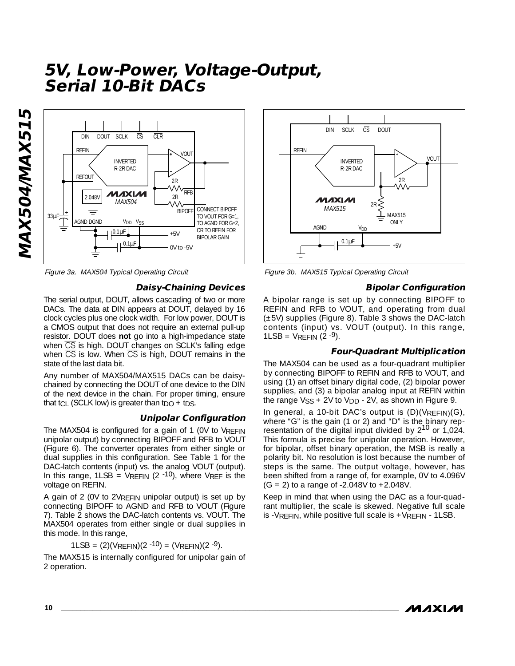

#### **Daisy-Chaining Devices**

The serial output, DOUT, allows cascading of two or more DACs. The data at DIN appears at DOUT, delayed by 16 clock cycles plus one clock width. For low power, DOUT is a CMOS output that does not require an external pull-up resistor. DOUT does **not** go into a high-impedance state when CS is high. DOUT changes on SCLK's falling edge when  $\overline{CS}$  is low. When  $\overline{CS}$  is high, DOUT remains in the state of the last data bit.

Any number of MAX504/MAX515 DACs can be daisychained by connecting the DOUT of one device to the DIN of the next device in the chain. For proper timing, ensure that  $t_{CL}$  (SCLK low) is greater than  $t_{DO} + t_{DS}$ .

#### **Unipolar Configuration**

The MAX504 is configured for a gain of 1 (0V to VREFIN unipolar output) by connecting BIPOFF and RFB to VOUT (Figure 6). The converter operates from either single or dual supplies in this configuration. See Table 1 for the DAC-latch contents (input) vs. the analog VOUT (output). In this range,  $1LSB = VREFIN$  (2 -10), where VREF is the voltage on REFIN.

A gain of 2 (0V to 2VREFIN unipolar output) is set up by connecting BIPOFF to AGND and RFB to VOUT (Figure 7). Table 2 shows the DAC-latch contents vs. VOUT. The MAX504 operates from either single or dual supplies in this mode. In this range,

1LSB =  $(2)(V$ REFIN $)(2 - 10) = (V$ REFIN $)(2 - 9)$ .

The MAX515 is internally configured for unipolar gain of 2 operation.



Figure 3a. MAX504 Typical Operating Circuit Figure 3b. MAX515 Typical Operating Circuit

#### **Bipolar Configuration**

A bipolar range is set up by connecting BIPOFF to REFIN and RFB to VOUT, and operating from dual (±5V) supplies (Figure 8). Table 3 shows the DAC-latch contents (input) vs. VOUT (output). In this range,  $1LSB = VREFIN(2 - 9)$ .

#### **Four-Quadrant Multiplication**

The MAX504 can be used as a four-quadrant multiplier by connecting BIPOFF to REFIN and RFB to VOUT, and using (1) an offset binary digital code, (2) bipolar power supplies, and (3) a bipolar analog input at REFIN within the range  $VSS + 2V$  to  $VDD - 2V$ , as shown in Figure 9.

In general, a 10-bit DAC's output is  $(D)(V_{RFFIN})(G)$ , where "G" is the gain (1 or 2) and "D" is the binary representation of the digital input divided by  $2^{10}$  or  $1,024$ . This formula is precise for unipolar operation. However, for bipolar, offset binary operation, the MSB is really a polarity bit. No resolution is lost because the number of steps is the same. The output voltage, however, has been shifted from a range of, for example, 0V to 4.096V  $(G = 2)$  to a range of -2.048V to +2.048V.

Keep in mind that when using the DAC as a four-quadrant multiplier, the scale is skewed. Negative full scale is -VREFIN, while positive full scale is  $+V$ REFIN - 1LSB.

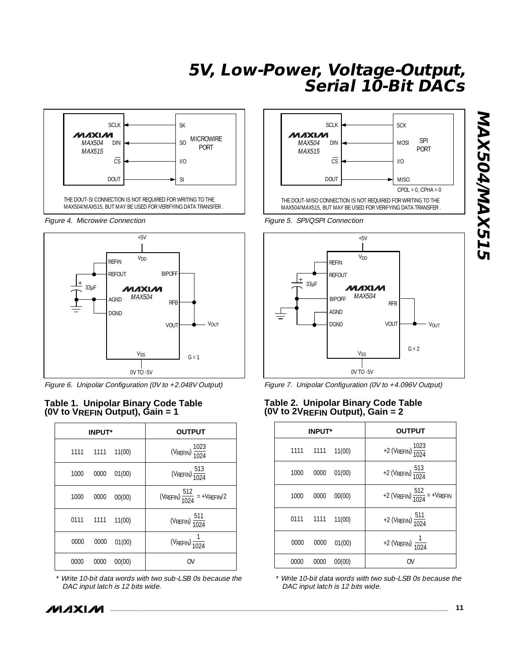

Figure 4. Microwire Connection **Figure 5. SPI/QSPI Connection** 



Figure 6. Unipolar Configuration (0V to +2.048V Output)

# **(0V to 2VREFIN Output), Gain = 2 Table 1. Unipolar Binary Code Table (0V to VREFIN Output), Gain = 1**

|      | <b>INPUT*</b> |        | <b>OUTPUT</b>                           |
|------|---------------|--------|-----------------------------------------|
|      | 1111 1111     | 11(00) | (VREFIN) $\frac{1023}{1024}$            |
| 1000 | 0000          | 01(00) | (VREFIN) $\frac{513}{1024}$             |
| 1000 | 0000          | 00(00) | (VREFIN) $\frac{512}{1024}$ = +VREFIN/2 |
|      | 0111 1111     | 11(00) | (VREFIN) $\frac{511}{1024}$             |
| 0000 | 0000          | 01(00) | (VREFIN) $\frac{1}{1024}$               |
| 0000 | 0000          | 00(00) | OV                                      |

Write 10-bit data words with two sub-LSB 0s because the DAC input latch is 12 bits wide.





Figure 7. Unipolar Configuration (0V to +4.096V Output)

# **Table 2. Unipolar Binary Code Table**

|      | <b>INPUT*</b> |        | <b>OUTPUT</b>                            |
|------|---------------|--------|------------------------------------------|
| 1111 | 1111          | 11(00) | +2 (VREFIN) $\frac{1023}{1024}$          |
| 1000 | 0000          | 01(00) | +2 (VREFIN) $\frac{513}{1024}$           |
| 1000 | 0000          | 00(00) | +2 (VREFIN) $\frac{512}{1024}$ = +VREFIN |
| 0111 | 1111          | 11(00) | +2 (VREFIN) $\frac{511}{1024}$           |
| 0000 | 0000          | 01(00) | +2 (VREFIN) $\frac{1}{1024}$             |
| 0000 | 0000          | 00(00) | 0V                                       |

Write 10-bit data words with two sub-LSB 0s because the DAC input latch is 12 bits wide.



**\_\_\_\_\_\_\_\_\_\_\_\_\_\_\_\_\_\_\_\_\_\_\_\_\_\_\_\_\_\_\_\_\_\_\_\_\_\_\_\_\_\_\_\_\_\_\_\_\_\_\_\_\_\_\_\_\_\_\_\_\_\_\_\_\_\_\_\_\_\_\_\_\_\_\_\_\_\_\_\_\_\_\_\_\_\_ 11**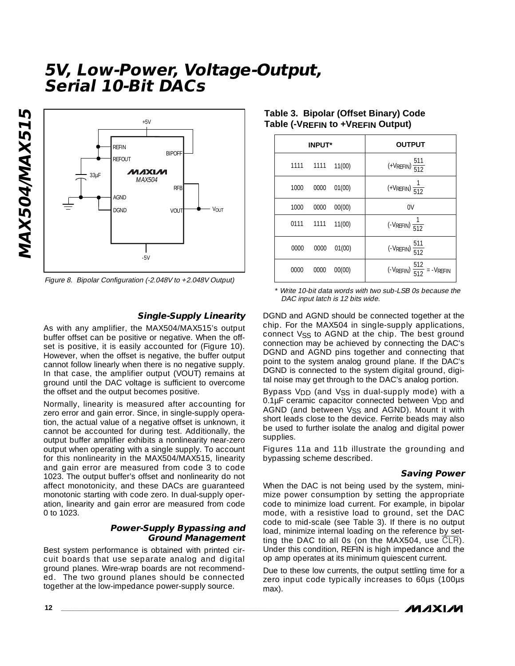

Figure 8. Bipolar Configuration (-2.048V to +2.048V Output)

#### **Single-Supply Linearity**

As with any amplifier, the MAX504/MAX515's output buffer offset can be positive or negative. When the offset is positive, it is easily accounted for (Figure 10). However, when the offset is negative, the buffer output cannot follow linearly when there is no negative supply. In that case, the amplifier output (VOUT) remains at ground until the DAC voltage is sufficient to overcome the offset and the output becomes positive.

Normally, linearity is measured after accounting for zero error and gain error. Since, in single-supply operation, the actual value of a negative offset is unknown, it cannot be accounted for during test. Additionally, the output buffer amplifier exhibits a nonlinearity near-zero output when operating with a single supply. To account for this nonlinearity in the MAX504/MAX515, linearity and gain error are measured from code 3 to code 1023. The output buffer's offset and nonlinearity do not affect monotonicity, and these DACs are guaranteed monotonic starting with code zero. In dual-supply operation, linearity and gain error are measured from code 0 to 1023.

#### **Power-Supply Bypassing and Ground Management**

Best system performance is obtained with printed circuit boards that use separate analog and digital ground planes. Wire-wrap boards are not recommended. The two ground planes should be connected together at the low-impedance power-supply source.

| <b>INPUT*</b>          | <b>OUTPUT</b>                               |
|------------------------|---------------------------------------------|
| 1111<br>1111<br>11(00) | $(+V_{REFIN})\frac{511}{512}$               |
| 01(00)<br>1000<br>0000 | $(+V_{REFIN})$ $\frac{1}{512}$              |
| 1000<br>00(00)<br>0000 | 0V                                          |
| 0111<br>1111<br>11(00) | $\left(-V_{REFIN}\right)\frac{1}{512}$      |
| 01(00)<br>0000<br>0000 | $(-V_{REFIN})\frac{511}{512}$               |
| 00(00)<br>0000<br>0000 | $(-V_{REFIN}) \frac{512}{512} = -V_{REFIN}$ |

#### **Table 3. Bipolar (Offset Binary) Code Table (-VREFIN to +VREFIN Output)**

\* Write 10-bit data words with two sub-LSB 0s because the DAC input latch is 12 bits wide.

DGND and AGND should be connected together at the chip. For the MAX504 in single-supply applications, connect V<sub>SS</sub> to AGND at the chip. The best ground connection may be achieved by connecting the DAC's DGND and AGND pins together and connecting that point to the system analog ground plane. If the DAC's DGND is connected to the system digital ground, digital noise may get through to the DAC's analog portion.

Bypass V<sub>DD</sub> (and V<sub>SS</sub> in dual-supply mode) with a 0.1µF ceramic capacitor connected between V<sub>DD</sub> and AGND (and between Vss and AGND). Mount it with short leads close to the device. Ferrite beads may also be used to further isolate the analog and digital power supplies.

Figures 11a and 11b illustrate the grounding and bypassing scheme described.

#### **Saving Power**

When the DAC is not being used by the system, minimize power consumption by setting the appropriate code to minimize load current. For example, in bipolar mode, with a resistive load to ground, set the DAC code to mid-scale (see Table 3). If there is no output load, minimize internal loading on the reference by setting the DAC to all 0s (on the MAX504, use CLR). Under this condition, REFIN is high impedance and the op amp operates at its minimum quiescent current.

Due to these low currents, the output settling time for a zero input code typically increases to 60µs (100µs max).

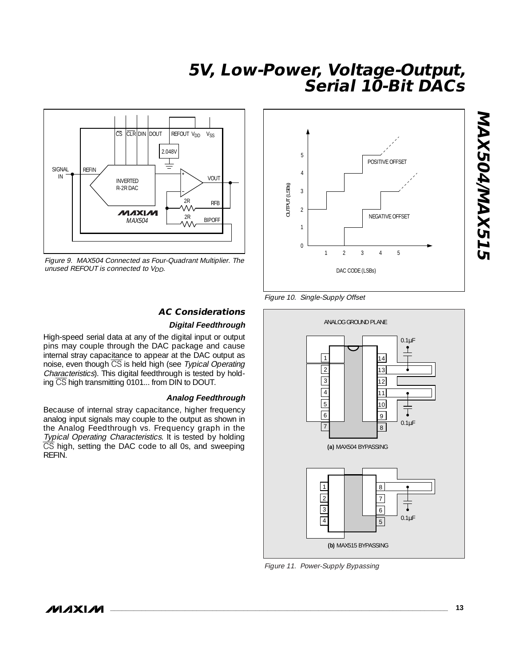

Figure 9. MAX504 Connected as Four-Quadrant Multiplier. The unused REFOUT is connected to V<sub>DD</sub>.

### **AC Considerations**

#### **Digital Feedthrough**

High-speed serial data at any of the digital input or output pins may couple through the DAC package and cause internal stray capacitance to appear at the DAC output as noise, even though CS is held high (see Typical Operating Characteristics). This digital feedthrough is tested by holding CS high transmitting 0101... from DIN to DOUT.

#### **Analog Feedthrough**

Because of internal stray capacitance, higher frequency analog input signals may couple to the output as shown in the Analog Feedthrough vs. Frequency graph in the Typical Operating Characteristics. It is tested by holding  $\overline{CS}$  high, setting the DAC code to all 0s, and sweeping REFIN.



Figure 10. Single-Supply Offset



Figure 11. Power-Supply Bypassing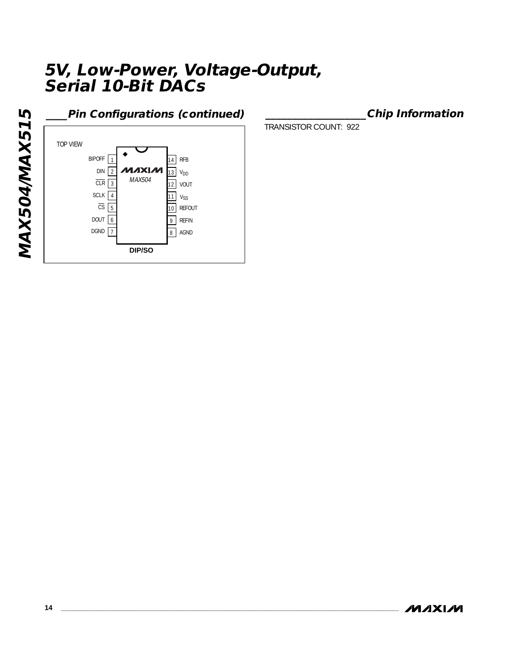MAX504/MAX515 **MAX504/MAX515**

### **\_\_\_\_Pin Configurations (continued)**



**\_\_\_\_\_\_\_\_\_\_\_\_\_\_\_\_\_\_\_Chip Information**

TRANSISTOR COUNT: 922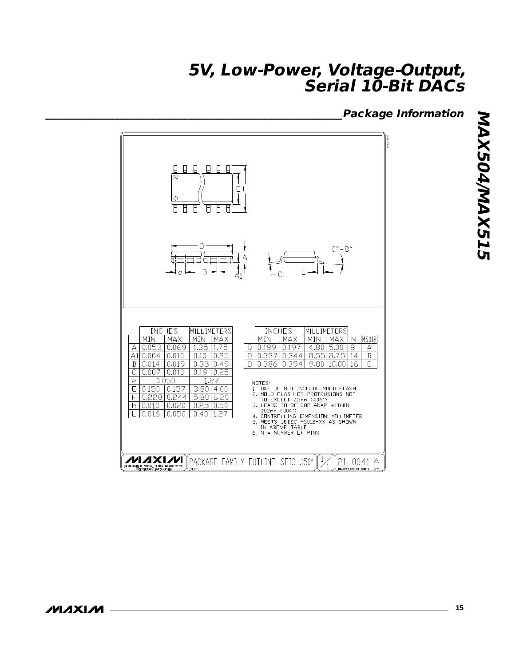**\_\_\_\_\_\_\_\_\_\_\_\_\_\_\_\_\_\_\_\_\_\_\_\_\_\_\_\_\_\_\_\_\_\_\_\_\_\_\_\_\_\_\_\_\_\_\_\_\_\_\_\_\_\_\_\_Package Information**